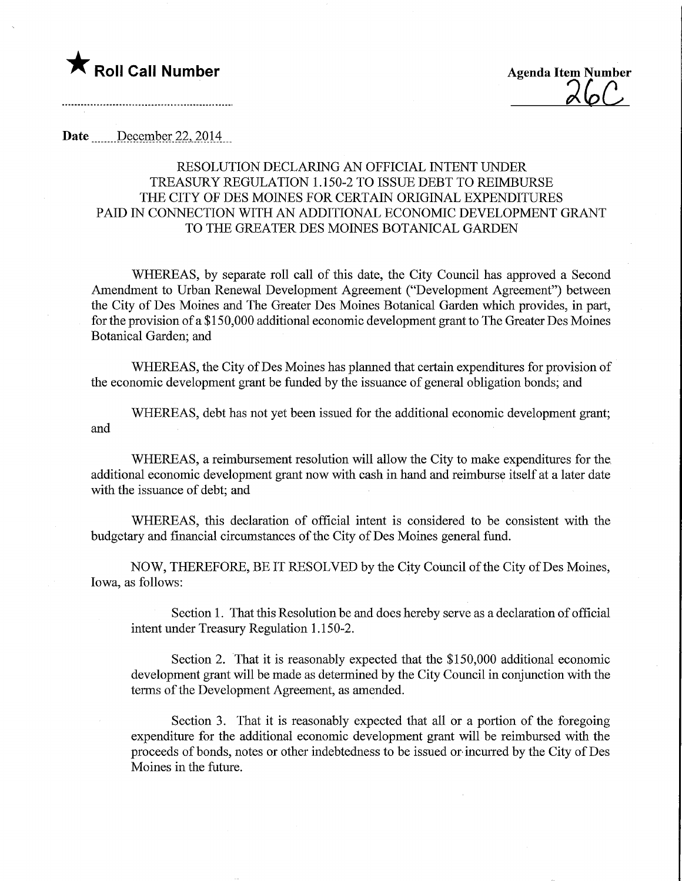## Roll Call Number Agenda Item Number

## Date December 22, 2014

## RESOLUTION DECLARING AN OFFICIAL INTENT UNDER TREASURY REGULATION 1.150-2 TO ISSUE DEBT TO REIMBURSE THE CITY OF DES MOINES FOR CERTAIN ORIGINAL EXPENDITURES PAID IN CONNECTION WITH AN ADDITIONAL ECONOMIC DEVELOPMENT GRANT TO THE GREATER DES MOINES BOTANICAL GARDEN

WHEREAS, by separate roll call of this date, the City Council has approved a Second Amendment to Urban Renewal Development Agreement ("Development Agreement") between the City of Des Moines and The Greater Des Moines Botanical Garden which provides, in part, for the provision of a \$150,000 additional economic development grant to The Greater Des Moines Botanical Garden; and

WHEREAS, the City of Des Moines has planned that certain expenditures for provision of the economic development grant be funded by the issuance of general obligation bonds; and

WHEREAS, debt has not yet been issued for the additional economic development grant; and

WHEREAS, a reimbursement resolution will allow the City to make expenditures for the, additional economic development grant now with cash in hand and reimburse itself at a later date with the issuance of debt; and

WHEREAS, this declaration of official intent is considered to be consistent with the budgetary and financial circumstances of the City of Des Moines general fund.

NOW, THEREFORE, BE IT RESOLVED by the City Council of the City of Des Moines, Iowa, as follows:

Section 1. That this Resolution be and does hereby serve as a declaration of official intent under Treasury Regulation 1.150-2.

Section 2. That it is reasonably expected that the \$150,000 additional economic development grant will be made as determined by the City Council in conjunction with the terms of the Development Agreement, as amended.

Section 3. That it is reasonably expected that all or a portion of the foregoing expenditure for the additional economic development grant will be reimbursed with the proceeds of bonds, notes or other indebtedness to be issued or incurred by the City of Des Moines in the future.